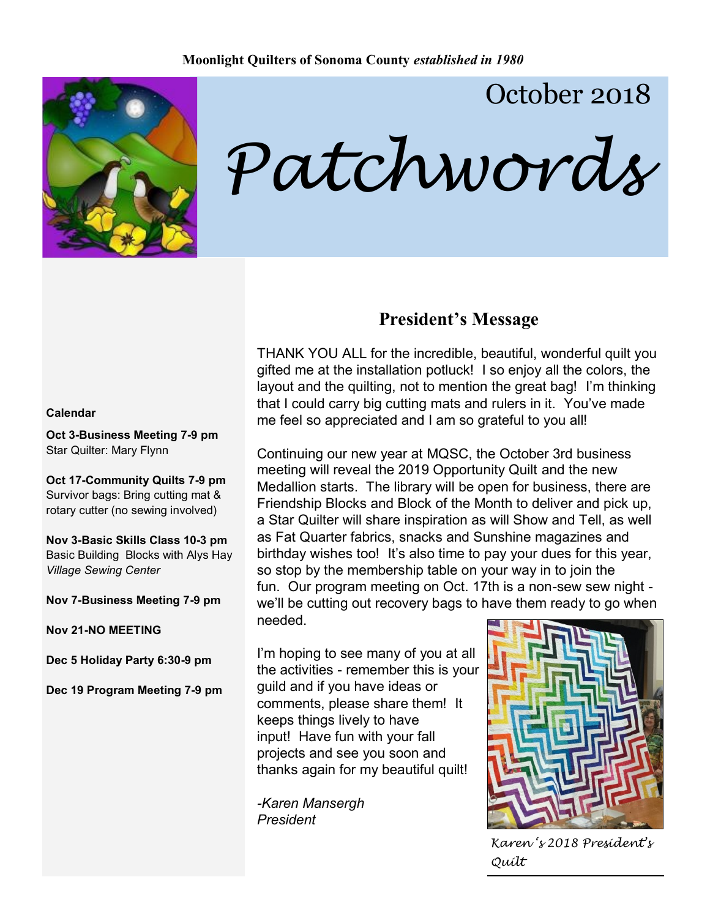

# October 2018

*Patchwords*

### **President's Message**

THANK YOU ALL for the incredible, beautiful, wonderful quilt you gifted me at the installation potluck! I so enjoy all the colors, the layout and the quilting, not to mention the great bag! I'm thinking that I could carry big cutting mats and rulers in it. You've made me feel so appreciated and I am so grateful to you all!

Continuing our new year at MQSC, the October 3rd business meeting will reveal the 2019 Opportunity Quilt and the new Medallion starts. The library will be open for business, there are Friendship Blocks and Block of the Month to deliver and pick up, a Star Quilter will share inspiration as will Show and Tell, as well as Fat Quarter fabrics, snacks and Sunshine magazines and birthday wishes too! It's also time to pay your dues for this year, so stop by the membership table on your way in to join the fun. Our program meeting on Oct. 17th is a non-sew sew night we'll be cutting out recovery bags to have them ready to go when needed.

I'm hoping to see many of you at all the activities - remember this is your guild and if you have ideas or comments, please share them! It keeps things lively to have input! Have fun with your fall projects and see you soon and thanks again for my beautiful quilt!

*-Karen Mansergh President*



*Karen 's 2018 President's Quilt*

#### **Calendar**

**Oct 3-Business Meeting 7-9 pm** Star Quilter: Mary Flynn

**Oct 17-Community Quilts 7-9 pm** Survivor bags: Bring cutting mat & rotary cutter (no sewing involved)

**Nov 3-Basic Skills Class 10-3 pm** Basic Building Blocks with Alys Hay *Village Sewing Center*

**Nov 7-Business Meeting 7-9 pm**

**Nov 21-NO MEETING**

**Dec 5 Holiday Party 6:30-9 pm**

**Dec 19 Program Meeting 7-9 pm**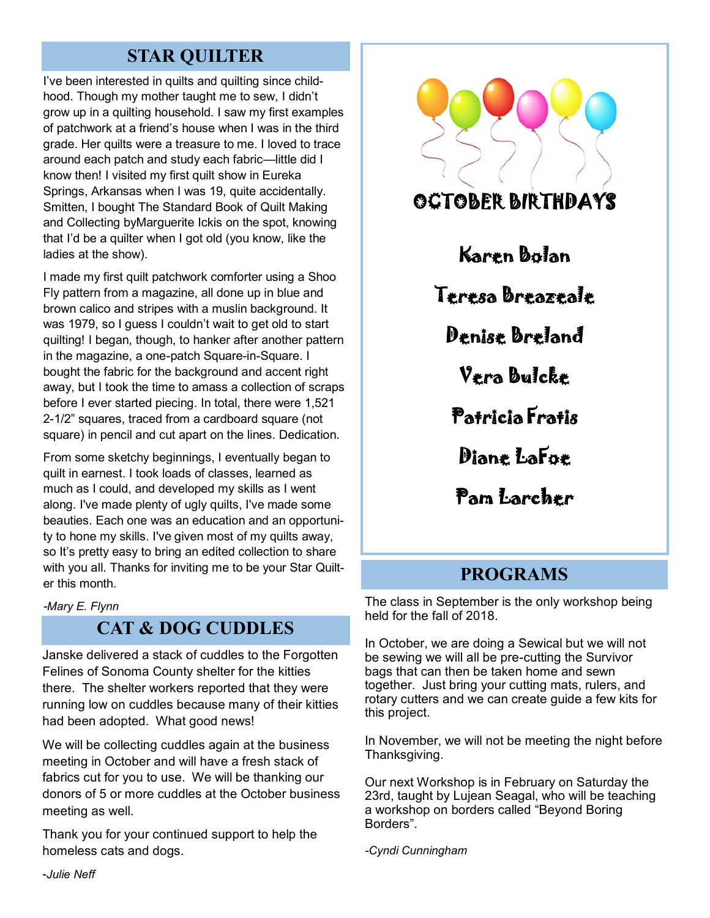## **STAR QUILTER**

I've been interested in quilts and quilting since childhood. Though my mother taught me to sew, I didn't grow up in a quilting household. I saw my first examples of patchwork at a friend's house when I was in the third grade. Her quilts were a treasure to me. I loved to trace around each patch and study each fabric—little did I know then! I visited my first quilt show in Eureka Springs, Arkansas when I was 19, quite accidentally. Smitten, I bought The Standard Book of Quilt Making and Collecting byMarguerite Ickis on the spot, knowing that I'd be a quilter when I got old (you know, like the ladies at the show).

I made my first quilt patchwork comforter using a Shoo Fly pattern from a magazine, all done up in blue and brown calico and stripes with a muslin background. It was 1979, so I guess I couldn't wait to get old to start quilting! I began, though, to hanker after another pattern in the magazine, a one-patch Square-in-Square. I bought the fabric for the background and accent right away, but I took the time to amass a collection of scraps before I ever started piecing. In total, there were 1,521 2-1/2" squares, traced from a cardboard square (not square) in pencil and cut apart on the lines. Dedication.

From some sketchy beginnings, I eventually began to quilt in earnest. I took loads of classes, learned as much as I could, and developed my skills as I went along. I've made plenty of ugly quilts, I've made some beauties. Each one was an education and an opportunity to hone my skills. I've given most of my quilts away, so It's pretty easy to bring an edited collection to share with you all. Thanks for inviting me to be your Star Quilter this month.

*-Mary E. Flynn*

### **CAT & DOG CUDDLES**

Janske delivered a stack of cuddles to the Forgotten Felines of Sonoma County shelter for the kitties there. The shelter workers reported that they were running low on cuddles because many of their kitties had been adopted. What good news!

We will be collecting cuddles again at the business meeting in October and will have a fresh stack of fabrics cut for you to use. We will be thanking our donors of 5 or more cuddles at the October business meeting as well.

Thank you for your continued support to help the homeless cats and dogs.



i,

ľ

### **PROGRAMS**

The class in September is the only workshop being held for the fall of 2018.

In October, we are doing a Sewical but we will not be sewing we will all be pre-cutting the Survivor bags that can then be taken home and sewn together. Just bring your cutting mats, rulers, and rotary cutters and we can create guide a few kits for this project.

In November, we will not be meeting the night before Thanksgiving.

Our next Workshop is in February on Saturday the 23rd, taught by Lujean Seagal, who will be teaching a workshop on borders called "Beyond Boring Borders".

*-Cyndi Cunningham*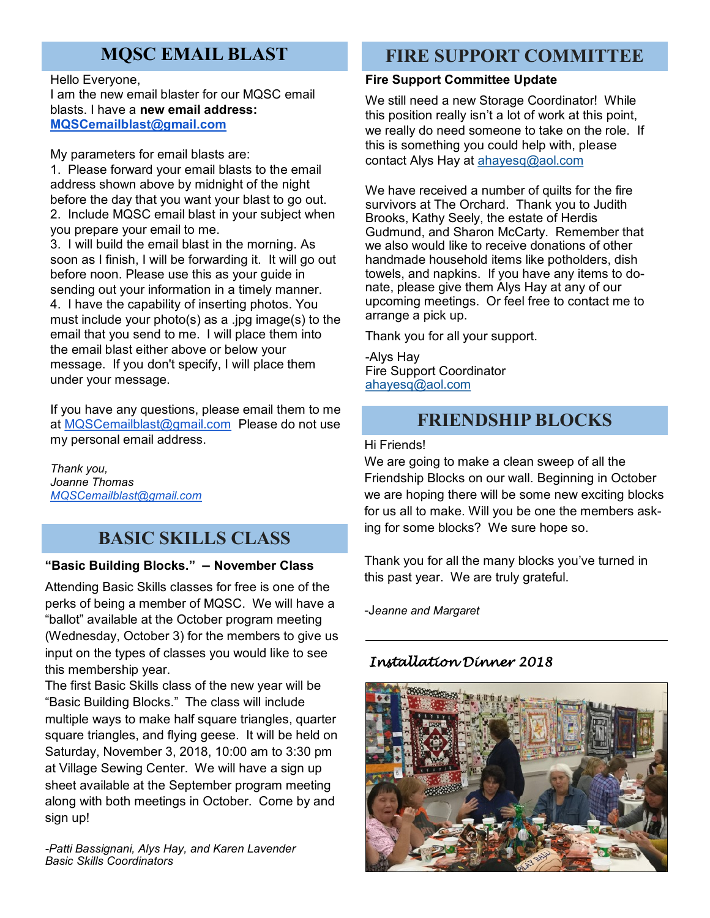## **MQSC EMAIL BLAST**

Hello Everyone, I am the new email blaster for our MQSC email blasts. I have a **new email address: [MQSCemailblast@gmail.com](mailto:MQSCemailblast@gmail.com)**

My parameters for email blasts are:

1. Please forward your email blasts to the email address shown above by midnight of the night before the day that you want your blast to go out. 2. Include MQSC email blast in your subject when you prepare your email to me.

3. I will build the email blast in the morning. As soon as I finish, I will be forwarding it. It will go out before noon. Please use this as your guide in sending out your information in a timely manner. 4. I have the capability of inserting photos. You must include your photo(s) as a .jpg image(s) to the email that you send to me. I will place them into the email blast either above or below your message. If you don't specify, I will place them under your message.

If you have any questions, please email them to me at [MQSCemailblast@gmail.com](mailto:MQSCemailblast@gmail.com) Please do not use my personal email address.

*Thank you, Joanne Thomas [MQSCemailblast@gmail.com](mailto:MQSCemailblast@gmail.com)*

## **BASIC SKILLS CLASS**

#### **"Basic Building Blocks." – November Class**

Attending Basic Skills classes for free is one of the perks of being a member of MQSC. We will have a "ballot" available at the October program meeting (Wednesday, October 3) for the members to give us input on the types of classes you would like to see this membership year.

The first Basic Skills class of the new year will be "Basic Building Blocks." The class will include multiple ways to make half square triangles, quarter square triangles, and flying geese. It will be held on Saturday, November 3, 2018, 10:00 am to 3:30 pm at Village Sewing Center. We will have a sign up sheet available at the September program meeting along with both meetings in October. Come by and sign up!

*-Patti Bassignani, Alys Hay, and Karen Lavender Basic Skills Coordinators*

### **FIRE SUPPORT COMMITTEE**

#### **Fire Support Committee Update**

We still need a new Storage Coordinator! While this position really isn't a lot of work at this point, we really do need someone to take on the role. If this is something you could help with, please contact Alys Hay at [ahayesq@aol.com](mailto:ahayesq@aol.com)

We have received a number of quilts for the fire survivors at The Orchard. Thank you to Judith Brooks, Kathy Seely, the estate of Herdis Gudmund, and Sharon McCarty. Remember that we also would like to receive donations of other handmade household items like potholders, dish towels, and napkins. If you have any items to donate, please give them Alys Hay at any of our upcoming meetings. Or feel free to contact me to arrange a pick up.

Thank you for all your support.

-Alys Hay Fire Support Coordinator [ahayesq@aol.com](mailto:ahayesq@aol.com)

### **FRIENDSHIP BLOCKS**

Hi Friends!

We are going to make a clean sweep of all the Friendship Blocks on our wall. Beginning in October we are hoping there will be some new exciting blocks for us all to make. Will you be one the members asking for some blocks? We sure hope so.

Thank you for all the many blocks you've turned in this past year. We are truly grateful.

-J*eanne and Margaret*

### *Installation Dinner 2018*

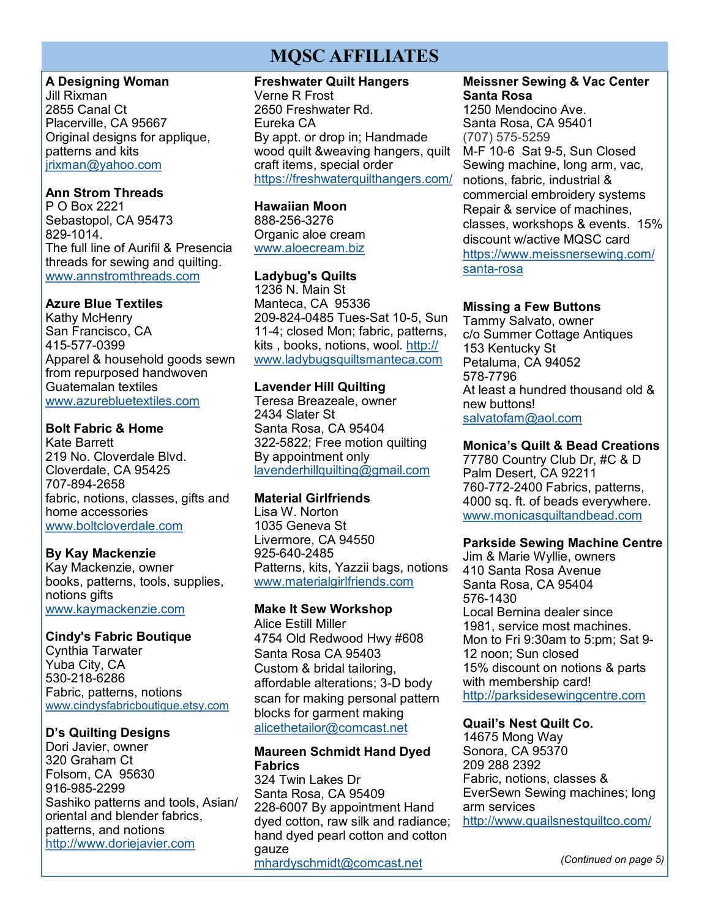### **MQSC AFFILIATES**

#### **A Designing Woman**

Jill Rixman 2855 Canal Ct Placerville, CA 95667 Original designs for applique, patterns and kits [jrixman@yahoo.com](mailto:jrixman@yahoo.com)

#### **Ann Strom Threads**

P O Box 2221 Sebastopol, CA 95473 829-1014. The full line of Aurifil & Presencia threads for sewing and quilting. [www.annstromthreads.com](http://www.annstromthreads.com)

#### **Azure Blue Textiles**

Kathy McHenry San Francisco, CA 415-577-0399 Apparel & household goods sewn from repurposed handwoven Guatemalan textiles [www.azurebluetextiles.com](http://www.azurebluetextiles.com)

#### **Bolt Fabric & Home**

Kate Barrett 219 No. Cloverdale Blvd. Cloverdale, CA 95425 707-894-2658 fabric, notions, classes, gifts and home accessories [www.boltcloverdale.com](http://www.boltcloverdale.com)

#### **By Kay Mackenzie**

Kay Mackenzie, owner books, patterns, tools, supplies, notions gifts [www.kaymackenzie.com](http://www.kaymackenzie.com)

#### **Cindy's Fabric Boutique**

Cynthia Tarwater Yuba City, CA 530-218-6286 Fabric, patterns, notions [www.cindysfabricboutique.etsy.com](http://www.cindysfabricboutique.etsy.com)

#### **D's Quilting Designs**

Dori Javier, owner 320 Graham Ct Folsom, CA 95630 916-985-2299 Sashiko patterns and tools, Asian/ oriental and blender fabrics, patterns, and notions <http://www.doriejavier.com>

#### **Freshwater Quilt Hangers**

Verne R Frost 2650 Freshwater Rd. Eureka CA By appt. or drop in; Handmade wood quilt &weaving hangers, quilt craft items, special order <https://freshwaterquilthangers.com/>

#### **Hawaiian Moon**

888-256-3276 Organic aloe cream [www.aloecream.biz](http://www.aloecream.biz/)

#### **Ladybug's Quilts**

1236 N. Main St Manteca, CA 95336 209-824-0485 Tues-Sat 10-5, Sun 11-4; closed Mon; fabric, patterns, kits , books, notions, wool. [http://](http://www.ladybugsquiltsmanteca.com) [www.ladybugsquiltsmanteca.com](http://www.ladybugsquiltsmanteca.com)

#### **Lavender Hill Quilting**

Teresa Breazeale, owner 2434 Slater St Santa Rosa, CA 95404 322-5822; Free motion quilting By appointment only [lavenderhillquilting@gmail.com](mailto:lavenderhillquilting@gmail.com)

#### **Material Girlfriends**

Lisa W. Norton 1035 Geneva St Livermore, CA 94550 925-640-2485 Patterns, kits, Yazzii bags, notions [www.materialgirlfriends.com](http://www.materialgirlfriends.com)

#### **Make It Sew Workshop**

Alice Estill Miller 4754 Old Redwood Hwy #608 Santa Rosa CA 95403 Custom & bridal tailoring, affordable alterations; 3-D body scan for making personal pattern blocks for garment making [alicethetailor@comcast.net](mailto:alicethetailor@comcast.net)

#### **Maureen Schmidt Hand Dyed Fabrics**

324 Twin Lakes Dr Santa Rosa, CA 95409 228-6007 By appointment Hand dyed cotton, raw silk and radiance; hand dyed pearl cotton and cotton gauze [mhardyschmidt@comcast.net](mailto:mhardyschmidt@comcast.net)

#### **Meissner Sewing & Vac Center Santa Rosa**

1250 Mendocino Ave. Santa Rosa, CA 95401 (707) 575-5259 M-F 10-6 Sat 9-5, Sun Closed Sewing machine, long arm, vac, notions, fabric, industrial & commercial embroidery systems Repair & service of machines, classes, workshops & events. 15% discount w/active MQSC card [https://www.meissnersewing.com/](https://www.meissnersewing.com/santa-rosa) [santa](https://www.meissnersewing.com/santa-rosa)-rosa

#### **Missing a Few Buttons**

Tammy Salvato, owner c/o Summer Cottage Antiques 153 Kentucky St Petaluma, CA 94052 578-7796 At least a hundred thousand old & new buttons! [salvatofam@aol.com](mailto:salvatofam@aol.com)

#### **Monica's Quilt & Bead Creations**

77780 Country Club Dr, #C & D Palm Desert, CA 92211 760-772-2400 Fabrics, patterns, 4000 sq. ft. of beads everywhere. [www.monicasquiltandbead.com](http://www.monicasquiltandbead.com)

#### **Parkside Sewing Machine Centre**

Jim & Marie Wyllie, owners 410 Santa Rosa Avenue Santa Rosa, CA 95404 576-1430 Local Bernina dealer since 1981, service most machines. Mon to Fri 9:30am to 5:pm; Sat 9- 12 noon; Sun closed 15% discount on notions & parts with membership card! <http://parksidesewingcentre.com>

#### **Quail's Nest Quilt Co.**

14675 Mong Way Sonora, CA 95370 209 288 2392 Fabric, notions, classes & EverSewn Sewing machines; long arm services <http://www.quailsnestquiltco.com/>

*(Continued on page 5)*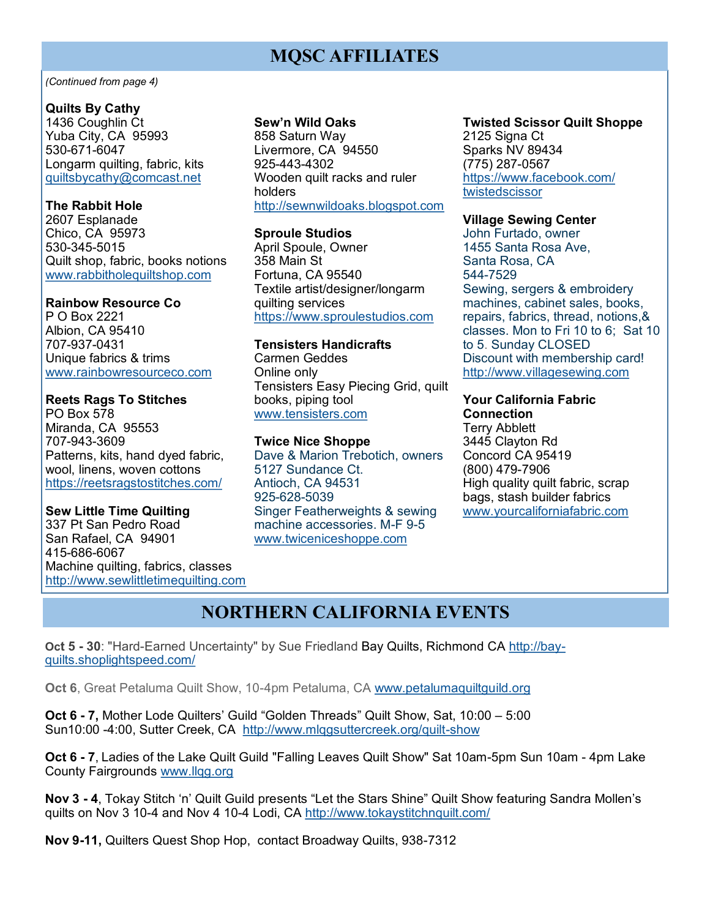### **MQSC AFFILIATES**

#### *(Continued from page 4)*

#### **Quilts By Cathy**

1436 Coughlin Ct Yuba City, CA 95993 530-671-6047 Longarm quilting, fabric, kits [quiltsbycathy@comcast.net](mailto:quiltsbycathy@comcast.net)

#### **The Rabbit Hole**

2607 Esplanade Chico, CA 95973 530-345-5015 Quilt shop, fabric, books notions [www.rabbitholequiltshop.com](http://www.rabbitholequiltshop.com/)

#### **Rainbow Resource Co**

P O Box 2221 Albion, CA 95410 707-937-0431 Unique fabrics & trims [www.rainbowresourceco.com](http://www.rainbowresourceco.com)

#### **Reets Rags To Stitches**

PO Box 578 Miranda, CA 95553 707-943-3609 Patterns, kits, hand dyed fabric, wool, linens, woven cottons <https://reetsragstostitches.com/>

#### **Sew Little Time Quilting**

337 Pt San Pedro Road San Rafael, CA 94901 415-686-6067 Machine quilting, fabrics, classes <http://www.sewlittletimequilting.com>

#### **Sew'n Wild Oaks**

858 Saturn Way Livermore, CA 94550 925-443-4302 Wooden quilt racks and ruler holders [http://sewnwildoaks.blogspot.com](http://sewnwildoaks.blogspot.com/)

#### **Sproule Studios**

April Spoule, Owner 358 Main St Fortuna, CA 95540 Textile artist/designer/longarm quilting services <https://www.sproulestudios.com>

## **Tensisters Handicrafts**

Carmen Geddes Online only Tensisters Easy Piecing Grid, quilt books, piping tool [www.tensisters.com](http://www.tensisters.com)

#### **Twice Nice Shoppe**

Dave & Marion Trebotich, owners 5127 Sundance Ct. Antioch, CA 94531 925-628-5039 Singer Featherweights & sewing machine accessories. M-F 9-5 [www.twiceniceshoppe.com](http://twiceniceshoppe.com/)

#### **Twisted Scissor Quilt Shoppe** 2125 Signa Ct Sparks NV 89434 (775) 287-0567 [https://www.facebook.com/](https://www.facebook.com/twistedscissor) [twistedscissor](https://www.facebook.com/twistedscissor)

#### **Village Sewing Center**

John Furtado, owner 1455 Santa Rosa Ave, Santa Rosa, CA 544-7529 Sewing, sergers & embroidery machines, cabinet sales, books, repairs, fabrics, thread, notions,& classes. Mon to Fri 10 to 6; Sat 10 to 5. Sunday CLOSED Discount with membership card! <http://www.villagesewing.com>

#### **Your California Fabric**

**Connection** Terry Abblett 3445 Clayton Rd Concord CA 95419 (800) 479-7906 High quality quilt fabric, scrap bags, stash builder fabrics [www.yourcaliforniafabric.com](http://www.yourcaliforniafabric.com)

### **NORTHERN CALIFORNIA EVENTS**

**Oct 5 - 30**: "Hard-Earned Uncertainty" by Sue Friedland Bay Quilts, Richmond CA [http://bay](http://bay-quilts.shoplightspeed.com/)[quilts.shoplightspeed.com/](http://bay-quilts.shoplightspeed.com/)

**Oct 6**, Great Petaluma Quilt Show, 10-4pm Petaluma, CA www.petalumaquiltquild.org

**Oct 6 - 7,** Mother Lode Quilters' Guild "Golden Threads" Quilt Show, Sat, 10:00 – 5:00 Sun10:00 -4:00, Sutter Creek, CA [http://www.mlqgsuttercreek.org/quilt](http://www.mlqgsuttercreek.org/quilt-show)-show

**Oct 6 - 7**, Ladies of the Lake Quilt Guild "Falling Leaves Quilt Show" Sat 10am-5pm Sun 10am - 4pm Lake County Fairgrounds [www.llqg.org](http://www.llqg.org)

**Nov 3 - 4**, Tokay Stitch 'n' Quilt Guild presents "Let the Stars Shine" Quilt Show featuring Sandra Mollen's quilts on Nov 3 10-4 and Nov 4 10-4 Lodi, CA<http://www.tokaystitchnquilt.com/>

**Nov 9-11,** Quilters Quest Shop Hop, contact Broadway Quilts, 938-7312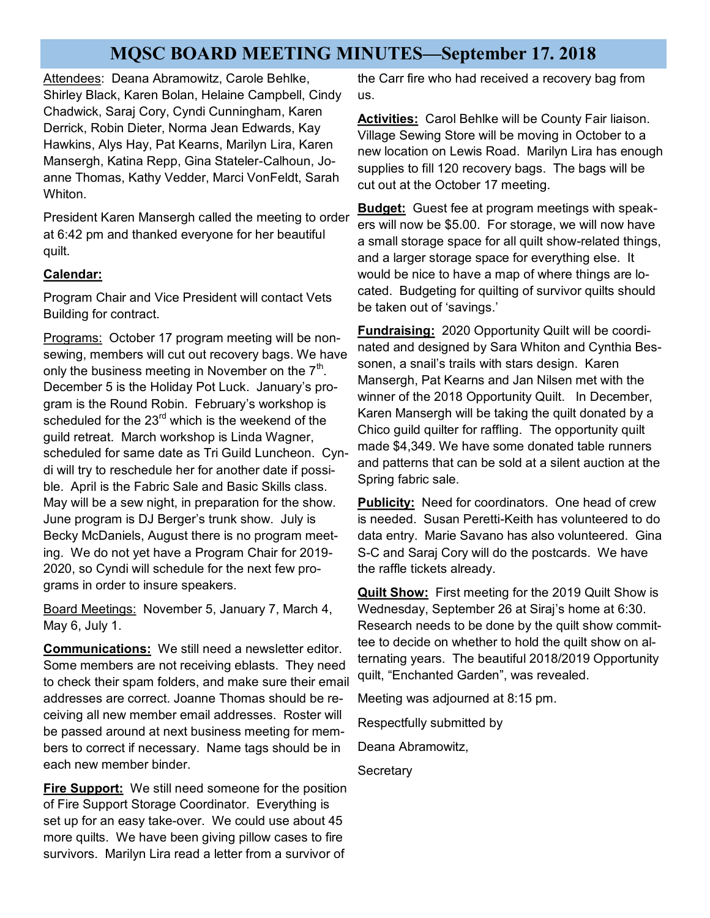### **MQSC BOARD MEETING MINUTES—September 17. 2018**

Attendees: Deana Abramowitz, Carole Behlke, Shirley Black, Karen Bolan, Helaine Campbell, Cindy Chadwick, Saraj Cory, Cyndi Cunningham, Karen Derrick, Robin Dieter, Norma Jean Edwards, Kay Hawkins, Alys Hay, Pat Kearns, Marilyn Lira, Karen Mansergh, Katina Repp, Gina Stateler-Calhoun, Joanne Thomas, Kathy Vedder, Marci VonFeldt, Sarah Whiton.

President Karen Mansergh called the meeting to order at 6:42 pm and thanked everyone for her beautiful quilt.

#### **Calendar:**

Program Chair and Vice President will contact Vets Building for contract.

Programs: October 17 program meeting will be nonsewing, members will cut out recovery bags. We have only the business meeting in November on the  $7<sup>th</sup>$ . December 5 is the Holiday Pot Luck. January's program is the Round Robin. February's workshop is scheduled for the  $23<sup>rd</sup>$  which is the weekend of the guild retreat. March workshop is Linda Wagner, scheduled for same date as Tri Guild Luncheon. Cyndi will try to reschedule her for another date if possible. April is the Fabric Sale and Basic Skills class. May will be a sew night, in preparation for the show. June program is DJ Berger's trunk show. July is Becky McDaniels, August there is no program meeting. We do not yet have a Program Chair for 2019- 2020, so Cyndi will schedule for the next few programs in order to insure speakers.

Board Meetings: November 5, January 7, March 4, May 6, July 1.

**Communications:** We still need a newsletter editor. Some members are not receiving eblasts. They need to check their spam folders, and make sure their email addresses are correct. Joanne Thomas should be receiving all new member email addresses. Roster will be passed around at next business meeting for members to correct if necessary. Name tags should be in each new member binder.

**Fire Support:** We still need someone for the position of Fire Support Storage Coordinator. Everything is set up for an easy take-over. We could use about 45 more quilts. We have been giving pillow cases to fire survivors. Marilyn Lira read a letter from a survivor of

the Carr fire who had received a recovery bag from us.

**Activities:** Carol Behlke will be County Fair liaison. Village Sewing Store will be moving in October to a new location on Lewis Road. Marilyn Lira has enough supplies to fill 120 recovery bags. The bags will be cut out at the October 17 meeting.

**Budget:** Guest fee at program meetings with speakers will now be \$5.00. For storage, we will now have a small storage space for all quilt show-related things, and a larger storage space for everything else. It would be nice to have a map of where things are located. Budgeting for quilting of survivor quilts should be taken out of 'savings.'

**Fundraising:** 2020 Opportunity Quilt will be coordinated and designed by Sara Whiton and Cynthia Bessonen, a snail's trails with stars design. Karen Mansergh, Pat Kearns and Jan Nilsen met with the winner of the 2018 Opportunity Quilt. In December, Karen Mansergh will be taking the quilt donated by a Chico guild quilter for raffling. The opportunity quilt made \$4,349. We have some donated table runners and patterns that can be sold at a silent auction at the Spring fabric sale.

**Publicity:** Need for coordinators. One head of crew is needed. Susan Peretti-Keith has volunteered to do data entry. Marie Savano has also volunteered. Gina S-C and Saraj Cory will do the postcards. We have the raffle tickets already.

**Quilt Show:** First meeting for the 2019 Quilt Show is Wednesday, September 26 at Siraj's home at 6:30. Research needs to be done by the quilt show committee to decide on whether to hold the quilt show on alternating years. The beautiful 2018/2019 Opportunity quilt, "Enchanted Garden", was revealed.

Meeting was adjourned at 8:15 pm.

Respectfully submitted by

Deana Abramowitz,

**Secretary**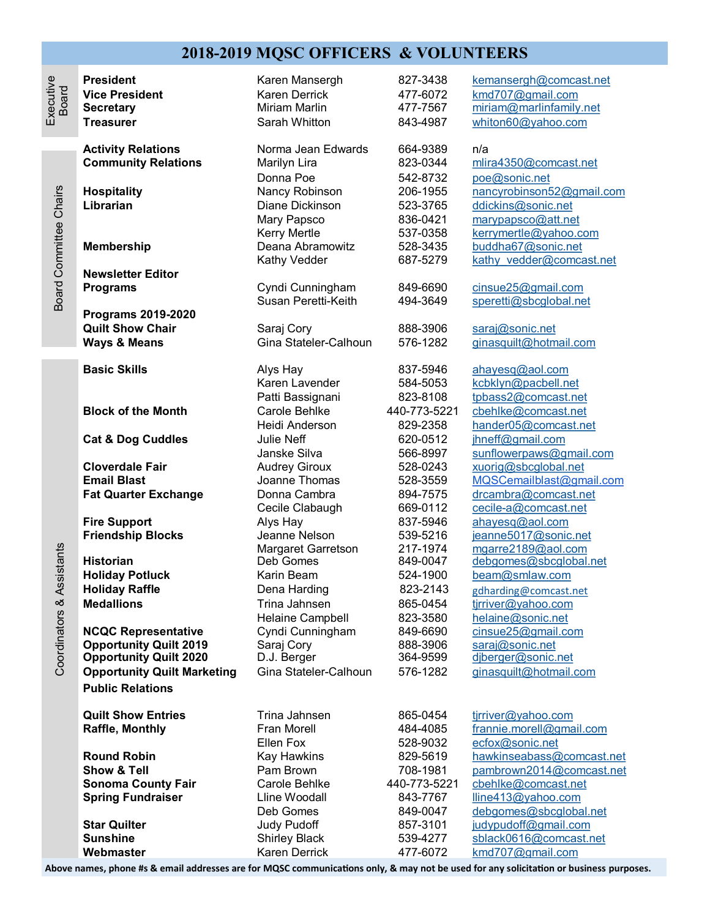#### **2018-2019 MQSC OFFICERS & VOLUNTEERS**

| ŋ<br>c |
|--------|
|--------|

Board Committee Chairs

**Board Committee Chairs** 

**Newsletter Editor**

**Programs 2019-2020**

Coordinators & Assistants

Coordinators & Assistants

**NCQC Representative** Cyndi Cunningham 849-6690 **Opportunity Quilt 2019** Saraj Cory 888-3906 [saraj@sonic.net](mailto:saraj@sonic.net) **Opportunity Quilt 2020** D.J. Berger 364-9599 [djberger@sonic.net](mailto:djberger@sonic.net) **Opportunity Quilt Marketing** Gina Stateler-Calhoun 576-1282 [ginasquilt@hotmail.com](mailto:ginasquilt@hotmail.com) **Public Relations**

**Sonoma County Fair** Carole Behlke 440-773-5221

**Secretary** Miriam Marlin 477-7567 [miriam@marlinfamily.net](mailto:miriam@marlinfamily.net) **Treasurer** Sarah Whitton **843-4987** [whiton60@yahoo.com](mailto:whiton60@yahoo.com) **Activity Relations** Norma Jean Edwards 664-9389 n/a **Community Relations** Marilyn Lira 823-0344 [mlira4350@comcast.net](mailto:mlira4350@comcast.net) Donna Poe 542-8732 [poe@sonic.net](mailto:poe@sonic.net) **Hospitality** Nancy Robinson 206-1955 [nancyrobinson52@gmail.com](mailto:nancyrobinson52@gmail.com) **Librarian** Diane Dickinson 523-3765 [ddickins@sonic.net](mailto:ddickins@sonic.net) Mary Papsco 836-0421 [marypapsco@att.net](mailto:marypapsco@att.net) Kerry Mertle 537-0358 [kerrymertle@yahoo.com](mailto:kerrymertle@yahoo.com) **Membership Deana Abramowitz** 528-3435 [buddha67@sonic.net](mailto:buddha67@sonic.net) Kathy Vedder 687-5279 kathy vedder@comcast.net **Programs Cyndi Cunningham** 849-6690 [cinsue25@gmail.com](mailto:cinsue25@gmail.com) Susan Peretti-Keith 494-3649 [speretti@sbcglobal.net](mailto:speretti@sbcglobal.net) **Quilt Show Chair** Saraj Cory 888-3906 [saraj@sonic.net](mailto:saraj@sonic.net) **Basic Skills Alys Hay 19th COV** 837-5946 [ahayesq@aol.com](mailto:ahayesq@aol.com) Karen Lavender 584-5053 [kcbklyn@pacbell.net](mailto:kcbklyn@pacbell.net) Patti Bassignani 823-8108 [tpbass2@comcast.net](mailto:tpbass2@comcast.net) **Block of the Month** Carole Behlke 440-773-5221 [cbehlke@comcast.net](mailto:cbehlke@comcast.net) Heidi Anderson 829-2358 [hander05@comcast.net](mailto:hander05@comcast.net) Cat & Dog Cuddles Julie Neff 620-0512 *ihneff@gmail.com* Janske Silva 566-8997 [sunflowerpaws@gmail.com](mailto:sunflowerpaws@gmail.com) **Cloverdale Fair** Audrey Giroux 528-0243 [xuorig@sbcglobal.net](mailto:xuorig@sbcglobal.net) **Email Blast** Joanne Thomas 528-3559 [MQSCemailblast@gmail.com](mailto:MQSCemailblast@gmail.com) **Fat Quarter Exchange** Donna Cambra 894-7575 [drcambra@comcast.net](mailto:drcambra@comcast.net) Cecile Clabaugh 669-0112 cecile-[a@comcast.net](mailto:cecile-a@comcast.net) **Fire Support** Alys Hay 837-5946 [ahayesq@aol.com](mailto:ahayesq@aol.com) **Jeanne Nelson 539-5216** jeanne 5017@sonic.net Margaret Garretson 217-1974 [mgarre2189@aol.com](mailto:mgarre2189@aol.com) Historian **Historian** Deb Gomes 849-0047 [debgomes@sbcglobal.net](mailto:debgomes@sbcglobal.net)

**Holiday Potluck** Karin Beam 524-1900 [beam@smlaw.com](mailto:beam@smlaw.com) **Holiday Raffle** The Dena Harding **823-2143** gdharding **@comcast.net**<br> **Medallions** Trina Jahnsen 865-0454 tirriver@vahoo.com Trina Jahnsen 865-0454 tirriver@yahoo.com Helaine Campbell 823-3580 [helaine@sonic.net](mailto:helaine@sonic.net)<br>
Cyndi Cunningham 849-6690 cinsue25@gmail.com

**President** Karen Mansergh **827-3438** [kemansergh@comcast.net](mailto:kemansergh@comcast.net) **Vice President Karen Derrick 477-6072** [kmd707@gmail.com](mailto:kmd707@gmail.com)

576-1282 gina squilt@hotmail.com

**Quilt Show Entries** Trina Jahnsen **865-0454** tirriver@yahoo.com **Raffle, Monthly** Fran Morell 484-4085 [frannie.morell@gmail.com](mailto:frannie.morell@gmail.com) Ellen Fox 528-9032 [ecfox@sonic.net](mailto:ecfox@sonic.net) **Round Robin** Kay Hawkins **829-5619** [hawkinseabass@comcast.net](mailto:hawkinseabass@comcast.net) **Show & Tell Pam Brown** 708-1981 [pambrown2014@comcast.net](mailto:pambrown2014@comcast.net)<br> **Sonoma County Fair** Carole Behlke 440-773-5221 cbehlke@comcast.net **Spring Fundraiser Lline Woodall** 843-7767 [lline413@yahoo.com](mailto:lline413@yahoo.com) Deb Gomes 849-0047 [debgomes@sbcglobal.net](mailto:debgomes@sbcglobal.net) **Star Quilter Star Quilter Star Quilter Community** Judy Pudoff **857-3101** *udypudoff@gmail.com* **Sunshine** Shirley Black 539-4277 [sblack0616@comcast.net](mailto:sblack0616@comcast.net) **Webmaster Karen Derrick 477-6072** [kmd707@gmail.com](mailto:kmd707@gmail.com)

**Above names, phone #s & email addresses are for MQSC communications only, & may not be used for any solicitation or business purposes.**